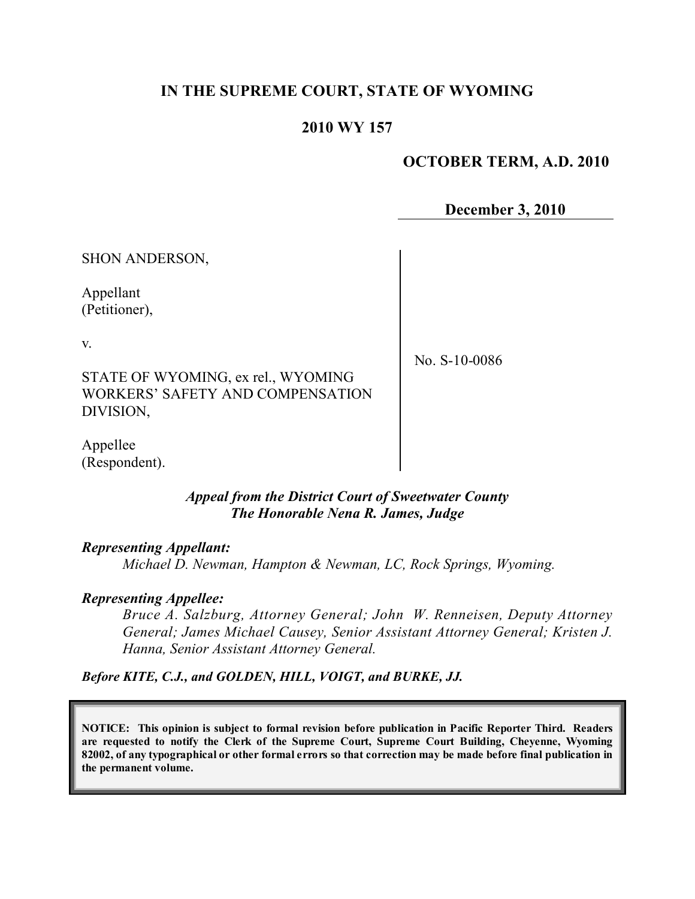# **IN THE SUPREME COURT, STATE OF WYOMING**

## **2010 WY 157**

## **OCTOBER TERM, A.D. 2010**

**December 3, 2010**

SHON ANDERSON,

Appellant (Petitioner),

v.

STATE OF WYOMING, ex rel., WYOMING WORKERS' SAFETY AND COMPENSATION DIVISION,

No. S-10-0086

Appellee (Respondent).

### *Appeal from the District Court of Sweetwater County The Honorable Nena R. James, Judge*

### *Representing Appellant:*

*Michael D. Newman, Hampton & Newman, LC, Rock Springs, Wyoming.*

### *Representing Appellee:*

*Bruce A. Salzburg, Attorney General; John W. Renneisen, Deputy Attorney General; James Michael Causey, Senior Assistant Attorney General; Kristen J. Hanna, Senior Assistant Attorney General.*

*Before KITE, C.J., and GOLDEN, HILL, VOIGT, and BURKE, JJ.*

**NOTICE: This opinion is subject to formal revision before publication in Pacific Reporter Third. Readers are requested to notify the Clerk of the Supreme Court, Supreme Court Building, Cheyenne, Wyoming** 82002, of any typographical or other formal errors so that correction may be made before final publication in **the permanent volume.**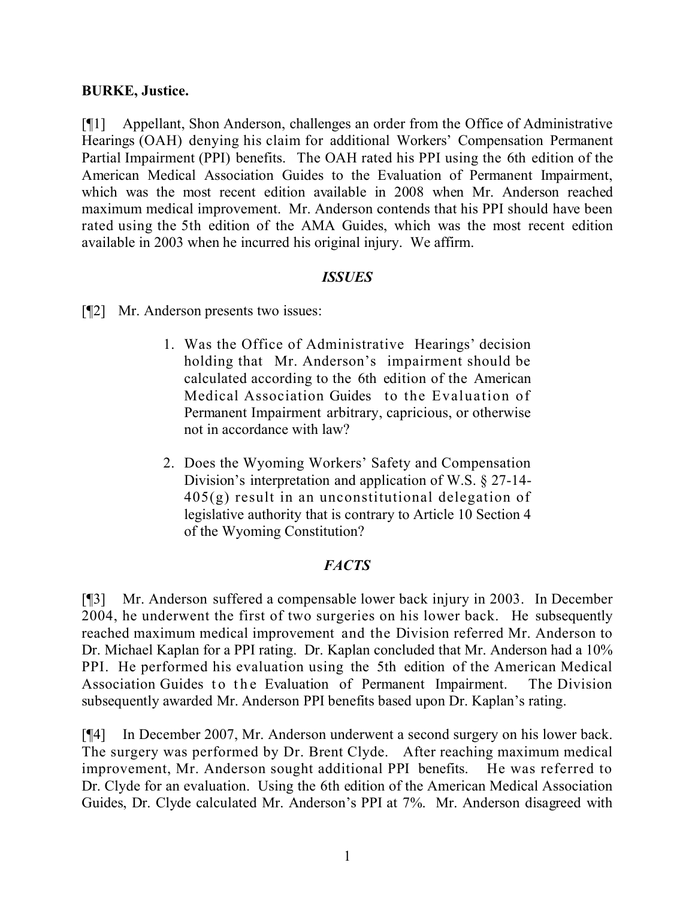## **BURKE, Justice.**

[¶1] Appellant, Shon Anderson, challenges an order from the Office of Administrative Hearings (OAH) denying his claim for additional Workers' Compensation Permanent Partial Impairment (PPI) benefits. The OAH rated his PPI using the 6th edition of the American Medical Association Guides to the Evaluation of Permanent Impairment, which was the most recent edition available in 2008 when Mr. Anderson reached maximum medical improvement. Mr. Anderson contends that his PPI should have been rated using the 5th edition of the AMA Guides, which was the most recent edition available in 2003 when he incurred his original injury. We affirm.

## *ISSUES*

[¶2] Mr. Anderson presents two issues:

- 1. Was the Office of Administrative Hearings' decision holding that Mr. Anderson's impairment should be calculated according to the 6th edition of the American Medical Association Guides to the Evaluation of Permanent Impairment arbitrary, capricious, or otherwise not in accordance with law?
- 2. Does the Wyoming Workers' Safety and Compensation Division's interpretation and application of W.S. § 27-14- 405(g) result in an unconstitutional delegation of legislative authority that is contrary to Article 10 Section 4 of the Wyoming Constitution?

# *FACTS*

[¶3] Mr. Anderson suffered a compensable lower back injury in 2003. In December 2004, he underwent the first of two surgeries on his lower back. He subsequently reached maximum medical improvement and the Division referred Mr. Anderson to Dr. Michael Kaplan for a PPI rating. Dr. Kaplan concluded that Mr. Anderson had a 10% PPI. He performed his evaluation using the 5th edition of the American Medical Association Guides to the Evaluation of Permanent Impairment. The Division subsequently awarded Mr. Anderson PPI benefits based upon Dr. Kaplan's rating.

[¶4] In December 2007, Mr. Anderson underwent a second surgery on his lower back. The surgery was performed by Dr. Brent Clyde. After reaching maximum medical improvement, Mr. Anderson sought additional PPI benefits. He was referred to Dr. Clyde for an evaluation. Using the 6th edition of the American Medical Association Guides, Dr. Clyde calculated Mr. Anderson's PPI at 7%. Mr. Anderson disagreed with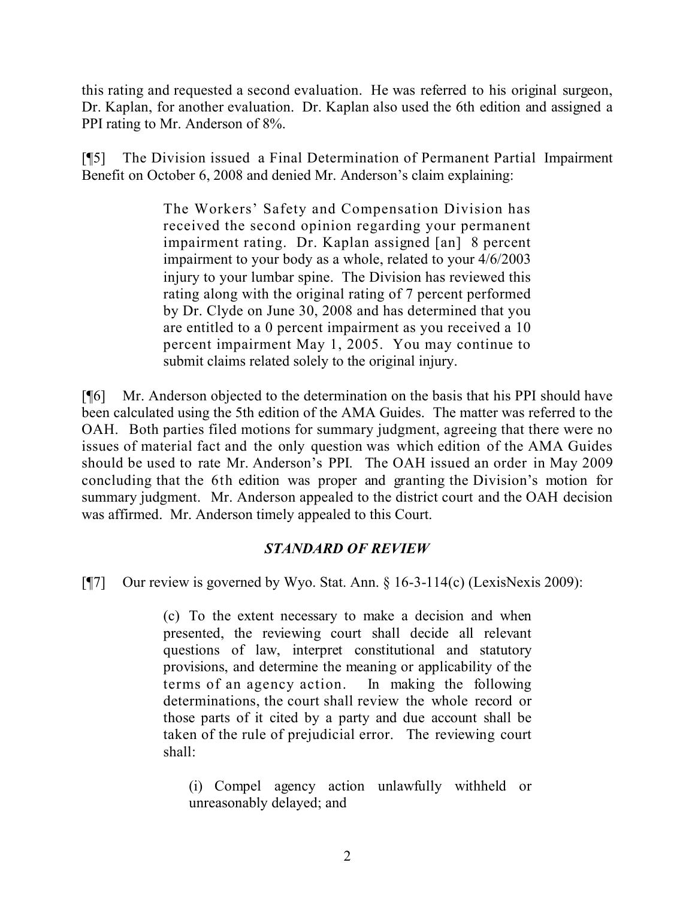this rating and requested a second evaluation. He was referred to his original surgeon, Dr. Kaplan, for another evaluation. Dr. Kaplan also used the 6th edition and assigned a PPI rating to Mr. Anderson of 8%.

[¶5] The Division issued a Final Determination of Permanent Partial Impairment Benefit on October 6, 2008 and denied Mr. Anderson's claim explaining:

> The Workers' Safety and Compensation Division has received the second opinion regarding your permanent impairment rating. Dr. Kaplan assigned [an] 8 percent impairment to your body as a whole, related to your 4/6/2003 injury to your lumbar spine. The Division has reviewed this rating along with the original rating of 7 percent performed by Dr. Clyde on June 30, 2008 and has determined that you are entitled to a 0 percent impairment as you received a 10 percent impairment May 1, 2005. You may continue to submit claims related solely to the original injury.

[¶6] Mr. Anderson objected to the determination on the basis that his PPI should have been calculated using the 5th edition of the AMA Guides. The matter was referred to the OAH. Both parties filed motions for summary judgment, agreeing that there were no issues of material fact and the only question was which edition of the AMA Guides should be used to rate Mr. Anderson's PPI. The OAH issued an order in May 2009 concluding that the 6th edition was proper and granting the Division's motion for summary judgment. Mr. Anderson appealed to the district court and the OAH decision was affirmed. Mr. Anderson timely appealed to this Court.

# *STANDARD OF REVIEW*

[¶7] Our review is governed by Wyo. Stat. Ann. § 16-3-114(c) (LexisNexis 2009):

(c) To the extent necessary to make a decision and when presented, the reviewing court shall decide all relevant questions of law, interpret constitutional and statutory provisions, and determine the meaning or applicability of the terms of an agency action. In making the following determinations, the court shall review the whole record or those parts of it cited by a party and due account shall be taken of the rule of prejudicial error. The reviewing court shall:

(i) Compel agency action unlawfully withheld or unreasonably delayed; and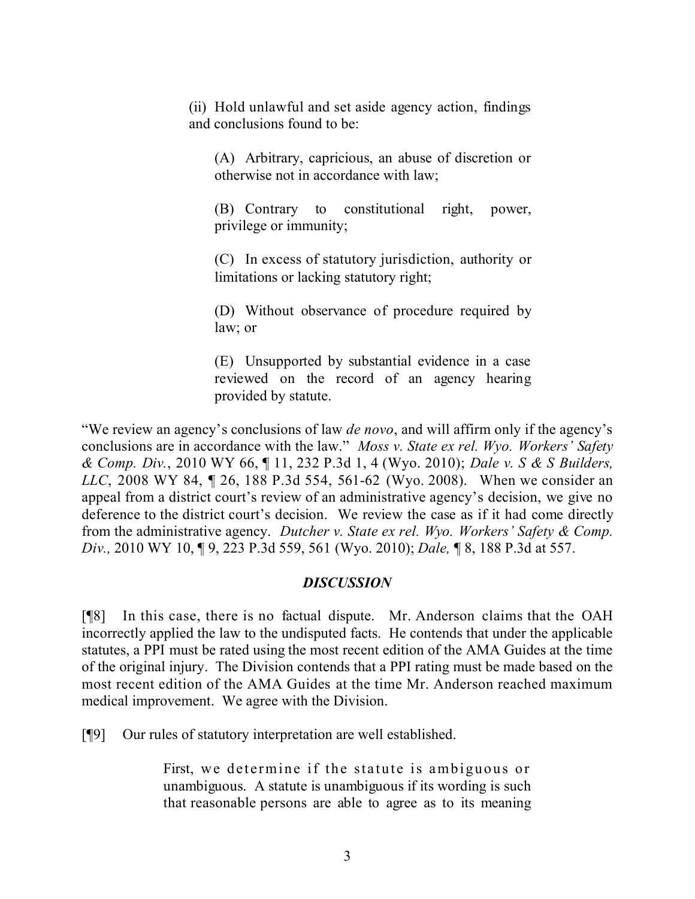(ii) Hold unlawful and set aside agency action, findings and conclusions found to be:

(A) Arbitrary, capricious, an abuse of discretion or otherwise not in accordance with law;

(B) Contrary to constitutional right, power, privilege or immunity;

(C) In excess of statutory jurisdiction, authority or limitations or lacking statutory right;

(D) Without observance of procedure required by law; or

(E) Unsupported by substantial evidence in a case reviewed on the record of an agency hearing provided by statute.

"We review an agency's conclusions of law *de novo*, and will affirm only if the agency's conclusions are in accordance with the law." *Moss v. State ex rel. Wyo. Workers' Safety & Comp. Div.*, 2010 WY 66, ¶ 11, 232 P.3d 1, 4 (Wyo. 2010); *Dale v. S & S Builders, LLC*, 2008 WY 84, ¶ 26, 188 P.3d 554, 561-62 (Wyo. 2008). When we consider an appeal from a district court's review of an administrative agency's decision, we give no deference to the district court's decision. We review the case as if it had come directly from the administrative agency. *Dutcher v. State ex rel. Wyo. Workers' Safety & Comp. Div.,* 2010 WY 10, ¶ 9, 223 P.3d 559, 561 (Wyo. 2010); *Dale,* ¶ 8, 188 P.3d at 557.

# *DISCUSSION*

[¶8] In this case, there is no factual dispute. Mr. Anderson claims that the OAH incorrectly applied the law to the undisputed facts. He contends that under the applicable statutes, a PPI must be rated using the most recent edition of the AMA Guides at the time of the original injury. The Division contends that a PPI rating must be made based on the most recent edition of the AMA Guides at the time Mr. Anderson reached maximum medical improvement. We agree with the Division.

[¶9] Our rules of statutory interpretation are well established.

First, we determine if the statute is ambiguous or unambiguous. A statute is unambiguous if its wording is such that reasonable persons are able to agree as to its meaning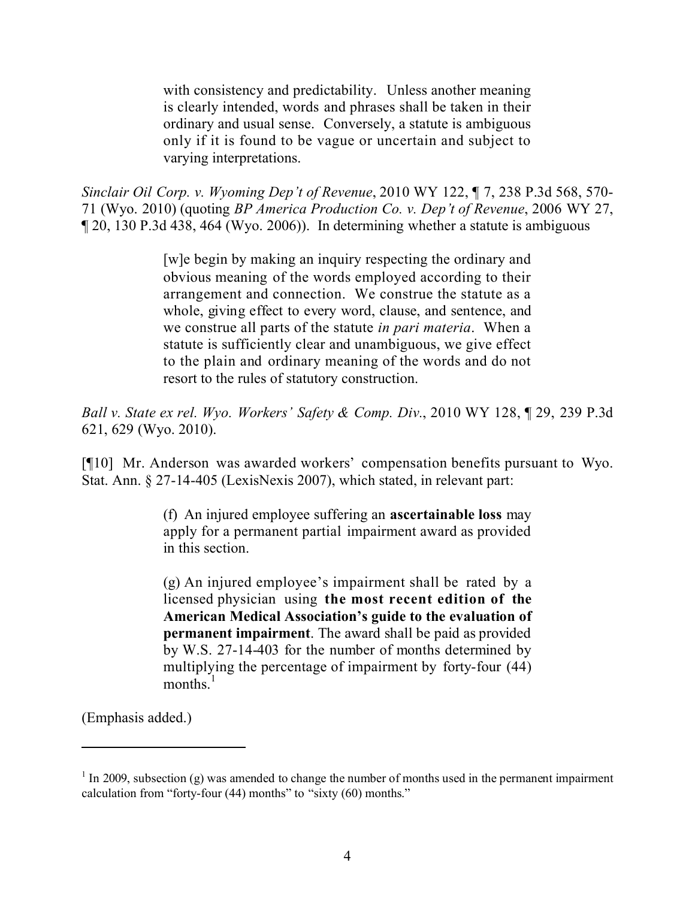with consistency and predictability. Unless another meaning is clearly intended, words and phrases shall be taken in their ordinary and usual sense. Conversely, a statute is ambiguous only if it is found to be vague or uncertain and subject to varying interpretations.

*Sinclair Oil Corp. v. Wyoming Dep't of Revenue*, 2010 WY 122, ¶ 7, 238 P.3d 568, 570- 71 (Wyo. 2010) (quoting *BP America Production Co. v. Dep't of Revenue*, 2006 WY 27, ¶ 20, 130 P.3d 438, 464 (Wyo. 2006)). In determining whether a statute is ambiguous

> [w]e begin by making an inquiry respecting the ordinary and obvious meaning of the words employed according to their arrangement and connection. We construe the statute as a whole, giving effect to every word, clause, and sentence, and we construe all parts of the statute *in pari materia*. When a statute is sufficiently clear and unambiguous, we give effect to the plain and ordinary meaning of the words and do not resort to the rules of statutory construction.

*Ball v. State ex rel. Wyo. Workers' Safety & Comp. Div.*, 2010 WY 128, ¶ 29, 239 P.3d 621, 629 (Wyo. 2010).

[¶10] Mr. Anderson was awarded workers' compensation benefits pursuant to Wyo. Stat. Ann. § 27-14-405 (LexisNexis 2007), which stated, in relevant part:

> (f) An injured employee suffering an **ascertainable loss** may apply for a permanent partial impairment award as provided in this section.

> (g) An injured employee's impairment shall be rated by a licensed physician using **the most recent edition of the American Medical Association's guide to the evaluation of permanent impairment**. The award shall be paid as provided by W.S. 27-14-403 for the number of months determined by multiplying the percentage of impairment by forty-four (44) months $<sup>1</sup>$ </sup>

(Emphasis added.)

 $<sup>1</sup>$  In 2009, subsection (g) was amended to change the number of months used in the permanent impairment</sup> calculation from "forty-four  $(44)$  months" to "sixty  $(60)$  months."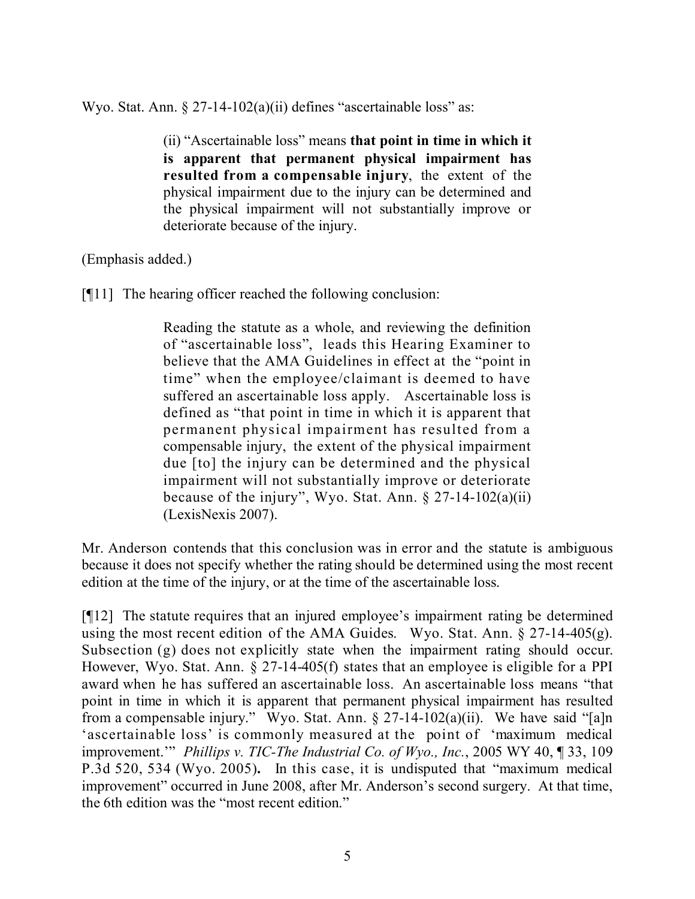Wyo. Stat. Ann.  $\S 27$ -14-102(a)(ii) defines "ascertainable loss" as:

(ii) "Ascertainable loss" means **that point in time in which it is apparent that permanent physical impairment has resulted from a compensable injury**, the extent of the physical impairment due to the injury can be determined and the physical impairment will not substantially improve or deteriorate because of the injury.

(Emphasis added.)

[¶11] The hearing officer reached the following conclusion:

Reading the statute as a whole, and reviewing the definition of "ascertainable loss", leads this Hearing Examiner to believe that the AMA Guidelines in effect at the "point in time" when the employee/claimant is deemed to have suffered an ascertainable loss apply. Ascertainable loss is defined as "that point in time in which it is apparent that permanent physical impairment has resulted from a compensable injury, the extent of the physical impairment due [to] the injury can be determined and the physical impairment will not substantially improve or deteriorate because of the injury", Wyo. Stat. Ann.  $\S 27$ -14-102(a)(ii) (LexisNexis 2007).

Mr. Anderson contends that this conclusion was in error and the statute is ambiguous because it does not specify whether the rating should be determined using the most recent edition at the time of the injury, or at the time of the ascertainable loss.

[¶12] The statute requires that an injured employee's impairment rating be determined using the most recent edition of the AMA Guides. Wyo. Stat. Ann.  $\S 27$ -14-405(g). Subsection (g) does not explicitly state when the impairment rating should occur. However, Wyo. Stat. Ann. § 27-14-405(f) states that an employee is eligible for a PPI award when he has suffered an ascertainable loss. An ascertainable loss means "that point in time in which it is apparent that permanent physical impairment has resulted from a compensable injury." Wyo. Stat. Ann.  $\S 27-14-102(a)(ii)$ . We have said "[a]n 'ascertainable loss' is commonly measured at the point of 'maximum medical improvement.'" *Phillips v. TIC-The Industrial Co. of Wyo., Inc.*, 2005 WY 40, ¶ 33, 109 P.3d 520, 534 (Wyo. 2005)**.** In this case, it is undisputed that "maximum medical improvement" occurred in June 2008, after Mr. Anderson's second surgery. At that time, the 6th edition was the "most recent edition."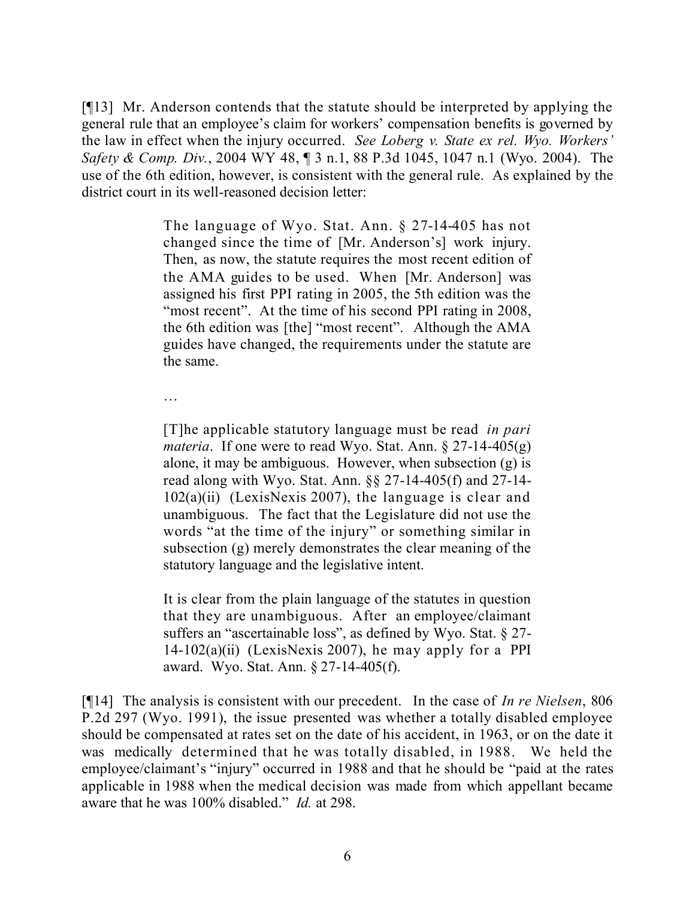[¶13] Mr. Anderson contends that the statute should be interpreted by applying the general rule that an employee's claim for workers' compensation benefits is governed by the law in effect when the injury occurred. *See Loberg v. State ex rel. Wyo. Workers' Safety & Comp. Div.*, 2004 WY 48, ¶ 3 n.1, 88 P.3d 1045, 1047 n.1 (Wyo. 2004). The use of the 6th edition, however, is consistent with the general rule. As explained by the district court in its well-reasoned decision letter:

> The language of Wyo. Stat. Ann. § 27-14-405 has not changed since the time of [Mr. Anderson's] work injury. Then, as now, the statute requires the most recent edition of the AMA guides to be used. When [Mr. Anderson] was assigned his first PPI rating in 2005, the 5th edition was the "most recent". At the time of his second PPI rating in 2008, the 6th edition was [the] "most recent". Although the AMA guides have changed, the requirements under the statute are the same.

…

[T]he applicable statutory language must be read *in pari materia*. If one were to read Wyo. Stat. Ann. § 27-14-405(g) alone, it may be ambiguous. However, when subsection (g) is read along with Wyo. Stat. Ann. §§ 27-14-405(f) and 27-14-  $102(a)(ii)$  (LexisNexis 2007), the language is clear and unambiguous. The fact that the Legislature did not use the words "at the time of the injury" or something similar in subsection (g) merely demonstrates the clear meaning of the statutory language and the legislative intent.

It is clear from the plain language of the statutes in question that they are unambiguous. After an employee/claimant suffers an "ascertainable loss", as defined by Wyo. Stat. § 27-  $14-102(a)(ii)$  (LexisNexis 2007), he may apply for a PPI award. Wyo. Stat. Ann. § 27-14-405(f).

[¶14] The analysis is consistent with our precedent. In the case of *In re Nielsen*, 806 P.2d 297 (Wyo. 1991), the issue presented was whether a totally disabled employee should be compensated at rates set on the date of his accident, in 1963, or on the date it was medically determined that he was totally disabled, in 1988. We held the employee/claimant's "injury" occurred in 1988 and that he should be "paid at the rates applicable in 1988 when the medical decision was made from which appellant became aware that he was 100% disabled." *Id.* at 298.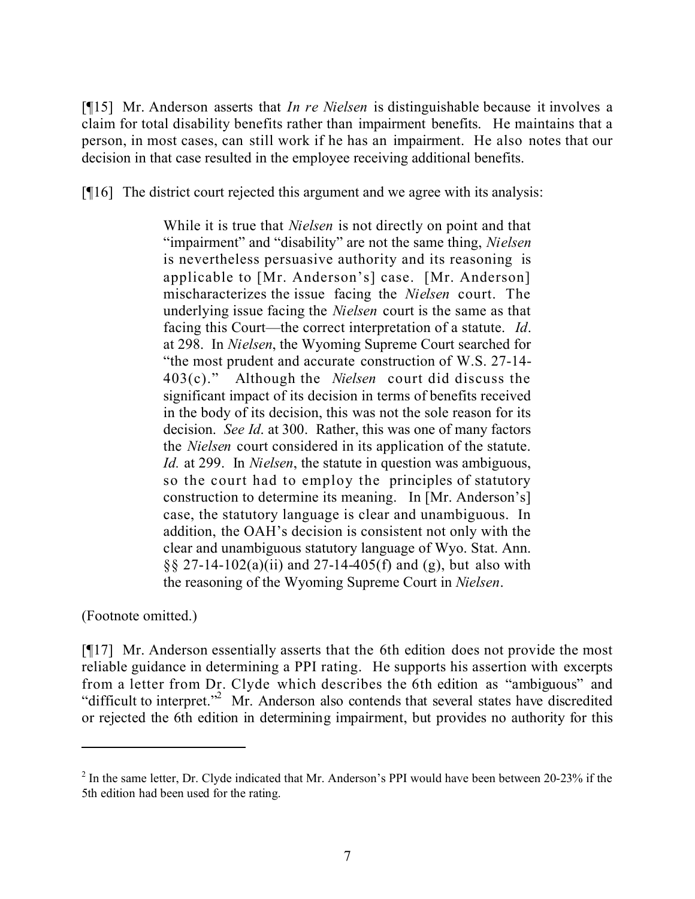[¶15] Mr. Anderson asserts that *In re Nielsen* is distinguishable because it involves a claim for total disability benefits rather than impairment benefits. He maintains that a person, in most cases, can still work if he has an impairment. He also notes that our decision in that case resulted in the employee receiving additional benefits.

[¶16] The district court rejected this argument and we agree with its analysis:

While it is true that *Nielsen* is not directly on point and that "impairment" and "disability" are not the same thing, *Nielsen* is nevertheless persuasive authority and its reasoning is applicable to [Mr. Anderson's] case. [Mr. Anderson] mischaracterizes the issue facing the *Nielsen* court. The underlying issue facing the *Nielsen* court is the same as that facing this Court—the correct interpretation of a statute. *Id*. at 298. In *Nielsen*, the Wyoming Supreme Court searched for "the most prudent and accurate construction of W.S. 27-14- 403(c)." Although the *Nielsen* court did discuss the significant impact of its decision in terms of benefits received in the body of its decision, this was not the sole reason for its decision. *See Id*. at 300. Rather, this was one of many factors the *Nielsen* court considered in its application of the statute. *Id.* at 299. In *Nielsen*, the statute in question was ambiguous, so the court had to employ the principles of statutory construction to determine its meaning. In [Mr. Anderson's] case, the statutory language is clear and unambiguous. In addition, the OAH's decision is consistent not only with the clear and unambiguous statutory language of Wyo. Stat. Ann.  $\S$ § 27-14-102(a)(ii) and 27-14-405(f) and (g), but also with the reasoning of the Wyoming Supreme Court in *Nielsen*.

(Footnote omitted.)

[¶17] Mr. Anderson essentially asserts that the 6th edition does not provide the most reliable guidance in determining a PPI rating. He supports his assertion with excerpts from a letter from Dr. Clyde which describes the 6th edition as "ambiguous" and "difficult to interpret."<sup>2</sup> Mr. Anderson also contends that several states have discredited or rejected the 6th edition in determining impairment, but provides no authority for this

 $2^2$  In the same letter, Dr. Clyde indicated that Mr. Anderson's PPI would have been between 20-23% if the 5th edition had been used for the rating.